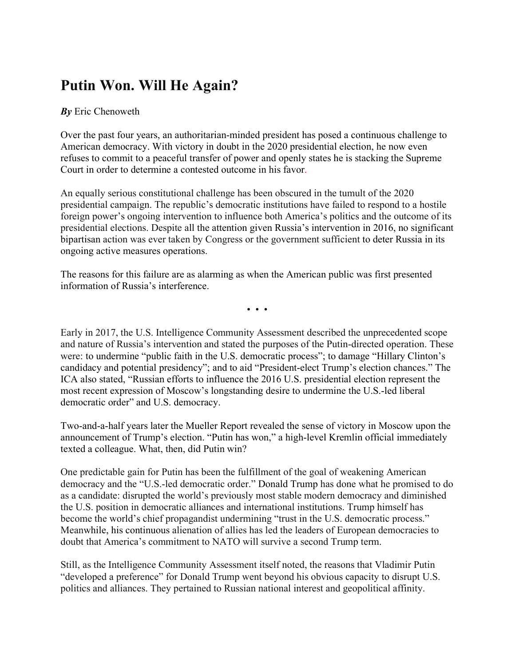## **Putin Won. Will He Again?**

## *By* Eric Chenoweth

Over the past four years, an authoritarian-minded president has posed a continuous challenge to American democracy. With victory in doubt in the 2020 presidential election, he now even refuses to commit to a peaceful transfer of power and openly states he is stacking the Supreme Court in order to determine a contested outcome in his favor.

An equally serious constitutional challenge has been obscured in the tumult of the 2020 presidential campaign. The republic's democratic institutions have failed to respond to a hostile foreign power's ongoing intervention to influence both America's politics and the outcome of its presidential elections. Despite all the attention given Russia's intervention in 2016, no significant bipartisan action was ever taken by Congress or the government sufficient to deter Russia in its ongoing active measures operations.

The reasons for this failure are as alarming as when the American public was first presented information of Russia's interference.

• • •

Early in 2017, the U.S. Intelligence Community Assessment described the unprecedented scope and nature of Russia's intervention and stated the purposes of the Putin-directed operation. These were: to undermine "public faith in the U.S. democratic process"; to damage "Hillary Clinton's candidacy and potential presidency"; and to aid "President-elect Trump's election chances." The ICA also stated, "Russian efforts to influence the 2016 U.S. presidential election represent the most recent expression of Moscow's longstanding desire to undermine the U.S.-led liberal democratic order" and U.S. democracy.

Two-and-a-half years later the Mueller Report revealed the sense of victory in Moscow upon the announcement of Trump's election. "Putin has won," a high-level Kremlin official immediately texted a colleague. What, then, did Putin win?

One predictable gain for Putin has been the fulfillment of the goal of weakening American democracy and the "U.S.-led democratic order." Donald Trump has done what he promised to do as a candidate: disrupted the world's previously most stable modern democracy and diminished the U.S. position in democratic alliances and international institutions. Trump himself has become the world's chief propagandist undermining "trust in the U.S. democratic process." Meanwhile, his continuous alienation of allies has led the leaders of European democracies to doubt that America's commitment to NATO will survive a second Trump term.

Still, as the Intelligence Community Assessment itself noted, the reasons that Vladimir Putin "developed a preference" for Donald Trump went beyond his obvious capacity to disrupt U.S. politics and alliances. They pertained to Russian national interest and geopolitical affinity.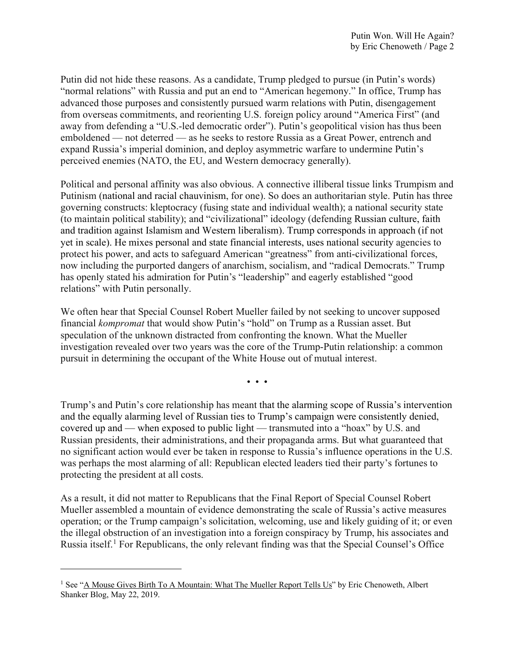Putin did not hide these reasons. As a candidate, Trump pledged to pursue (in Putin's words) "normal relations" with Russia and put an end to "American hegemony." In office, Trump has advanced those purposes and consistently pursued warm relations with Putin, disengagement from overseas commitments, and reorienting U.S. foreign policy around "America First" (and away from defending a "U.S.-led democratic order"). Putin's geopolitical vision has thus been emboldened — not deterred — as he seeks to restore Russia as a Great Power, entrench and expand Russia's imperial dominion, and deploy asymmetric warfare to undermine Putin's perceived enemies (NATO, the EU, and Western democracy generally).

Political and personal affinity was also obvious. A connective illiberal tissue links Trumpism and Putinism (national and racial chauvinism, for one). So does an authoritarian style. Putin has three governing constructs: kleptocracy (fusing state and individual wealth); a national security state (to maintain political stability); and "civilizational" ideology (defending Russian culture, faith and tradition against Islamism and Western liberalism). Trump corresponds in approach (if not yet in scale). He mixes personal and state financial interests, uses national security agencies to protect his power, and acts to safeguard American "greatness" from anti-civilizational forces, now including the purported dangers of anarchism, socialism, and "radical Democrats." Trump has openly stated his admiration for Putin's "leadership" and eagerly established "good relations" with Putin personally.

We often hear that Special Counsel Robert Mueller failed by not seeking to uncover supposed financial *kompromat* that would show Putin's "hold" on Trump as a Russian asset. But speculation of the unknown distracted from confronting the known. What the Mueller investigation revealed over two years was the core of the Trump-Putin relationship: a common pursuit in determining the occupant of the White House out of mutual interest.

• • •

Trump's and Putin's core relationship has meant that the alarming scope of Russia's intervention and the equally alarming level of Russian ties to Trump's campaign were consistently denied, covered up and — when exposed to public light — transmuted into a "hoax" by U.S. and Russian presidents, their administrations, and their propaganda arms. But what guaranteed that no significant action would ever be taken in response to Russia's influence operations in the U.S. was perhaps the most alarming of all: Republican elected leaders tied their party's fortunes to protecting the president at all costs.

As a result, it did not matter to Republicans that the Final Report of Special Counsel Robert Mueller assembled a mountain of evidence demonstrating the scale of Russia's active measures operation; or the Trump campaign's solicitation, welcoming, use and likely guiding of it; or even the illegal obstruction of an investigation into a foreign conspiracy by Trump, his associates and Russia itself.<sup>[1](#page-1-0)</sup> For Republicans, the only relevant finding was that the Special Counsel's Office

<span id="page-1-0"></span><sup>&</sup>lt;sup>1</sup> See ["A Mouse Gives Birth To A Mountain: What The Mueller Report Tells Us"](https://www.shankerinstitute.org/blog/mouse-gives-birth-mountain-what-mueller-report-tells-us) by Eric Chenoweth, Albert Shanker Blog, May 22, 2019.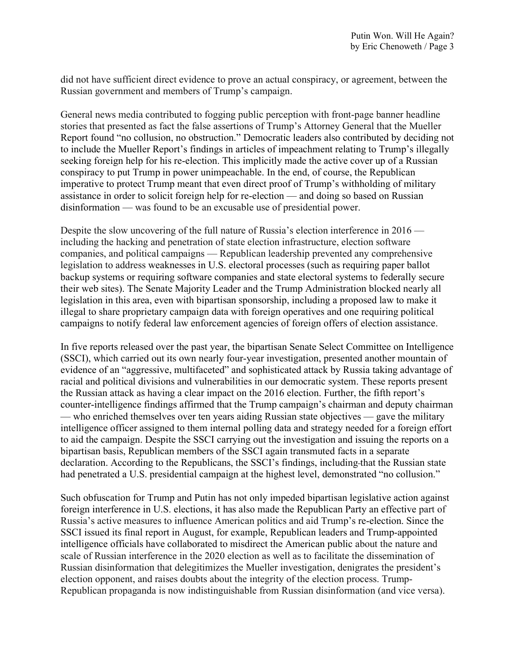did not have sufficient direct evidence to prove an actual conspiracy, or agreement, between the Russian government and members of Trump's campaign.

General news media contributed to fogging public perception with front-page banner headline stories that presented as fact the false assertions of Trump's Attorney General that the Mueller Report found "no collusion, no obstruction." Democratic leaders also contributed by deciding not to include the Mueller Report's findings in articles of impeachment relating to Trump's illegally seeking foreign help for his re-election. This implicitly made the active cover up of a Russian conspiracy to put Trump in power unimpeachable. In the end, of course, the Republican imperative to protect Trump meant that even direct proof of Trump's withholding of military assistance in order to solicit foreign help for re-election — and doing so based on Russian disinformation — was found to be an excusable use of presidential power.

Despite the slow uncovering of the full nature of Russia's election interference in 2016 including the hacking and penetration of state election infrastructure, election software companies, and political campaigns — Republican leadership prevented any comprehensive legislation to address weaknesses in U.S. electoral processes (such as requiring paper ballot backup systems or requiring software companies and state electoral systems to federally secure their web sites). The Senate Majority Leader and the Trump Administration blocked nearly all legislation in this area, even with bipartisan sponsorship, including a proposed law to make it illegal to share proprietary campaign data with foreign operatives and one requiring political campaigns to notify federal law enforcement agencies of foreign offers of election assistance.

In five reports released over the past year, the bipartisan Senate Select Committee on Intelligence (SSCI), which carried out its own nearly four-year investigation, presented another mountain of evidence of an "aggressive, multifaceted" and sophisticated attack by Russia taking advantage of racial and political divisions and vulnerabilities in our democratic system. These reports present the Russian attack as having a clear impact on the 2016 election. Further, the fifth report's counter-intelligence findings affirmed that the Trump campaign's chairman and deputy chairman — who enriched themselves over ten years aiding Russian state objectives — gave the military intelligence officer assigned to them internal polling data and strategy needed for a foreign effort to aid the campaign. Despite the SSCI carrying out the investigation and issuing the reports on a bipartisan basis, Republican members of the SSCI again transmuted facts in a separate declaration. According to the Republicans, the SSCI's findings, including that the Russian state had penetrated a U.S. presidential campaign at the highest level, demonstrated "no collusion."

Such obfuscation for Trump and Putin has not only impeded bipartisan legislative action against foreign interference in U.S. elections, it has also made the Republican Party an effective part of Russia's active measures to influence American politics and aid Trump's re-election. Since the SSCI issued its final report in August, for example, Republican leaders and Trump-appointed intelligence officials have collaborated to misdirect the American public about the nature and scale of Russian interference in the 2020 election as well as to facilitate the dissemination of Russian disinformation that delegitimizes the Mueller investigation, denigrates the president's election opponent, and raises doubts about the integrity of the election process. Trump-Republican propaganda is now indistinguishable from Russian disinformation (and vice versa).